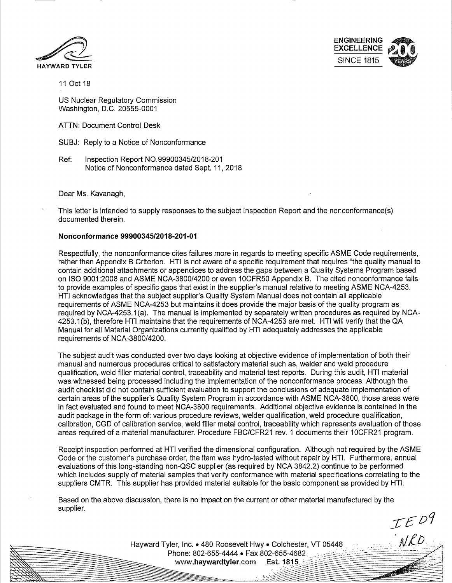



 $TED9$ 

 $NLO$ 

11 Oct 18

US Nuclear Regulatory Commission Washington, D.C. 20555-0001

ATTN: Document Control Desk

- SUBJ: Reply to a Notice of Nonconformance
- Ref: Inspection Report N0.99900345/2018-201 Notice of Nonconformance dated Sept. 11, 2018

Dear Ms. Kavanagh,

This letter is intended to supply responses to the subject Inspection Report and the nonconformance(s) documented therein.

### **Nonconformance 99900345/2018-201-01**

Respectfully, the nonconformance cites failures more in regards to meeting specific ASME Code requirements, rather than Appendix B Criterion. HTI is not aware of a specific requirement that requires "the quality manual to contain additional attachments or appendices to address the gaps between a Quality Systems Program based on ISO 9001:2008 and ASME NCA-3800/4200 or even 10CFR50 Appendix B. The cited nonconformance fails to provide examples of specific gaps that exist in the supplier's manual relative to meeting ASME NCA-4253. HTI acknowledges that the subject supplier's Quality System Manual does not contain all applicable requirements of ASME NCA-4253 but maintains it does provide the major basis of the quality program as required by NCA-4253.1 (a). The manual is implemented by separately written procedures as required by NCA-4253.1 (b), therefore HTI maintains that the requirements of NCA-4253 are met. HTI will verify that the QA Manual for all Material Organizations currently qualified by HTI adequately addresses the applicable requirements of NCA-3800/4200.

The subject audit was conducted over two days looking at objective evidence of implementation of both their manual and numerous procedures critical to satisfactory material such as, welder and weld procedure qualification, weld filler material control, traceability and material test reports. During this audit, HTI material was witnessed being processed including the implementation of the nonconformance process. Although the audit checklist did not contain sufficient evaluation to support the conclusions of adequate implementation of certain areas of the supplier's Quality System Program in accordance with ASME NCA-3800, those areas were in fact evaluated and found to meet NCA-3800 requirements. Additional objective evidence is contained in the audit package in the form of: various procedure reviews, welder qualification, weld procedure qualification, calibration, CGD of calibration service, weld filler metal control, traceability which represents evaluation of those areas required of a material manufacturer. Procedure FBC/CFR21 rev. 1 documents their 10CFR21 program.

Receipt inspection performed at HTI verified the dimensional configuration. Although not required by the ASME Code or the customer's purchase order, the item was hydro-tested without repair by HTI. Furthermore, annual evaluations of this long-standing non-QSC supplier (as required by NGA 3842.2) continue to be performed which includes supply of material samples that verify conformance with material specifications correlating to the suppliers CMTR. This supplier has provided material suitable for the basic component as provided by HTI.

Based on the above discussion, there is no impact on the current or other material manufactured by the supplier.

Havward Tyler, Inc. • 480 Roosevelt Hwy • Colchester, VT 05446 Phone: 802-655-4444 • Fax 802-655-4682 www.havwardtvler.com Est. 1815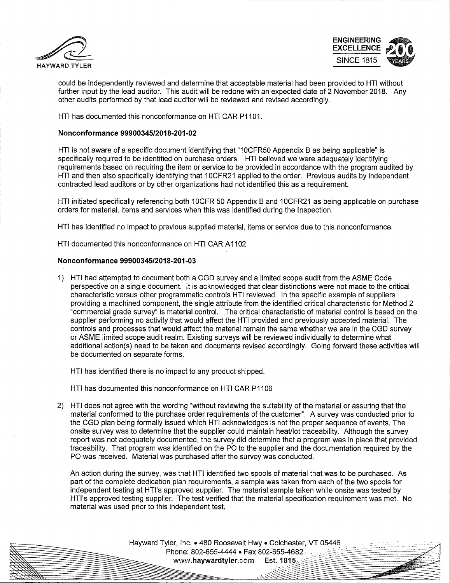



l

could be independently reviewed and determine that acceptable material had been provided to HTI without further input by the lead auditor. This audit will be redone with an expected date of 2 November 2018. Any other audits performed by that lead auditor will be reviewed and revised accordingly.

HTI has documented this nonconformance on HTI CAR P1101.

## **Nonconformance 99900345/2018-201-02**

HTI is not aware of a specific document identifying that "1 OCFR50 Appendix B as being applicable" is specifically required to be identified on purchase orders. HTI believed we were adequately identifying requirements based on requiring the item or service to be provided in accordance with the program audited by HTI and then also specifically identifying that 1 OCFR21 applied to the order. Previous audits by independent contracted lead auditors or by other organizations had not identified this as a requirement.

HTI initiated specifically referencing both 10CFR 50 Appendix B and 10CFR21 as being applicable on purchase orders for material, items and services when this was identified during the Inspection. ·

HTI has identified no impact to previous supplied material, items or service due to this nonconformance.

HTI documented this nonconformance on HTI CAR A1102

#### **Nonconformance 99900345/2018-201-03**

1) HTI had attempted to document both a CGD survey and a limited scope audit from the ASME Code perspective on a single document. It is acknowledged that clear distinctions were not made to the critical characteristic versus other programmatic controls HTI reviewed. In the specific example of suppliers providing a machined component, the single attribute from the identified critical characteristic for Method 2 "commercial grade survey" is material control. The critical characteristic of material control is based on the supplier performing no activity that would affect the HTI provided and previously accepted material. The controls and processes that would affect the material remain the same whether we are in the CGD survey or ASME limited scope audit realm. Existing surveys will be reviewed individually to determine what additional action(s) need to be taken and documents revised accordingly. Going forward these activities will be documented on separate forms.

HTI has identified there is no impact to any product shipped.

HTI has documented this nonconformance on HTI CAR P1106

2) HTI does not agree with the wording "without reviewing the suitability of the material or assuring that the material conformed to the purchase order requirements of the customer''. A survey was conducted prior to the CGD plan being formally issued which HTI acknowledges is not the proper sequence of events. The onsite survey was to determine that the supplier could maintain heaUlot traceability. Although the survey report was not adequately documented, the survey did determine that a program was in place that provided traceability. That program was identified on the PO to the supplier and the documentation required by the PO was received. Material was purchased after the survey was conducted.

An action during the survey, was that HTI identified two spools of material that was to be purchased. As part of the complete dedication plan requirements, a sample was taken from each of the two spools for independent testing at HTl's approved supplier. The material sample taken while onsite was tested by HTl's approved testing supplier. The test verified that the material specification requirement was met. No material was used prior to this independent test.

> Hayward Tyler, Inc. • 480 Roosevelt Hwy • Colchester, VT 05446 **Phone: 802-655-4444 • Fax 802-655-4682**<br>
> www.**haywardtyler.com** Est. 1815 *.\_..\_:::-..:/'-?~-----* ./:--:::%-:::~ ·--'"~~-- .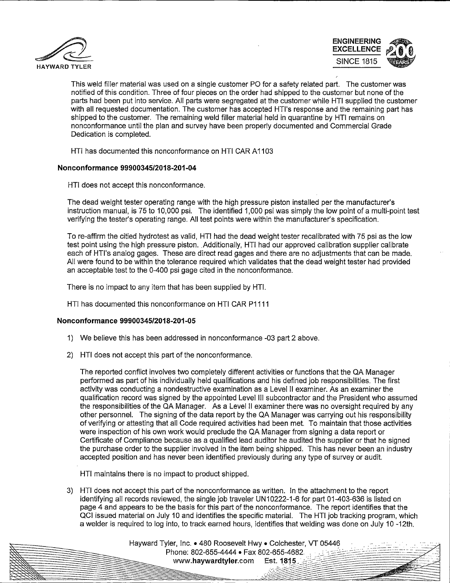



**SALES** 

This weld filler material was used on a single customer PO for a safety related part. The customer was notified of this condition. Three of four pieces on the order had shipped to the customer but none of the parts had been put into service. All parts were segregated at the customer while HTI supplied the customer with all requested documentation. The customer has accepted HTl's response and the remaining part has shipped to the customer. The remaining weld filler material held in quarantine by HTI remains on nonconformance until the plan and survey have been properly documented and Commercial Grade Dedication is completed.

HTI has documented this nonconformance on HTI CAR A 1103

# **Non conformance 99900345/2018-201 -04**

HTI does not accept this nonconformance.

The dead weight tester operating range with the high pressure piston installed per the manufacturer's instruction manual, is 75 to 10,000 psi. The identified 1,000 psi was simply the low point of a multi-point test verifying the tester's operating range. All test points were within the manufacturer's specification.

To re-affirm the citied hydrotest as valid, HTI had the dead weight tester recalibrated with 75 psi as the low test point using the high pressure piston. Additionally, HTI had our approved calibration supplier calibrate each of HTl's analog gages. These are direct read gages and there are no adjustments that can be made. All were found to be within the tolerance required which validates that the dead weight tester had provided an acceptable test to the 0-400 psi gage cited in the nonconformance.

There is no impact to any item that has been supplied by HTI.

HTI has documented this nonconformance on HTI CAR P1111

## **Nonconformance 99900345/2018-201 -05**

- 1) We believe this has been addressed in nonconformance -03 part 2 above.
- 2) HTI does not accept this part of the nonconformance.

The reported conflict involves two completely different activities or functions that the QA Manager performed as part of his individually held qualifications and his defined job responsibilities. The first activity was conducting a nondestructive examination as a Level II examiner. As an examiner the qualification record was signed by the appointed Level Ill subcontractor and the President who assumed the responsibilities of the QA Manager. As a Level II examiner there was no oversight required by any other personnel. The signing of the data report by the QA Manager was carrying out his responsibility of verifying or attesting that all Code required activities had been met. To maintain that those activities were inspection of his own work would preclude the QA Manager from signing a data report or Certificate of Compliance because as a qualified lead auditor he audited the supplier or that he signed the purchase order to the supplier involved in the item being shipped. This has never been an industry accepted position and has never been identified previously during any type of survey or audit.

HTI maintains there is no impact to product shipped.

3) HTI does not accept this part of the nonconformance as written. In the attachment to the report identifying all records reviewed, the single job traveler UN 10222-1-6 for part 01-403-636 is listed on page 4 and appears to be the basis for this part of the nonconformance. The report identifies that the QCI issued material on July 10 and identifies the specific material. The HTI job tracking program, which a welder is required to log into, to track earned hours, identifies that welding was done on July 10 -12th.

> Hayward Tyler, Inc. • 480 Roosevelt Hwy • Colchester, VT 05446 Phone: 802-655-4444 • Fax 802-655-4682. www.havwardtvler.com Est. 1815